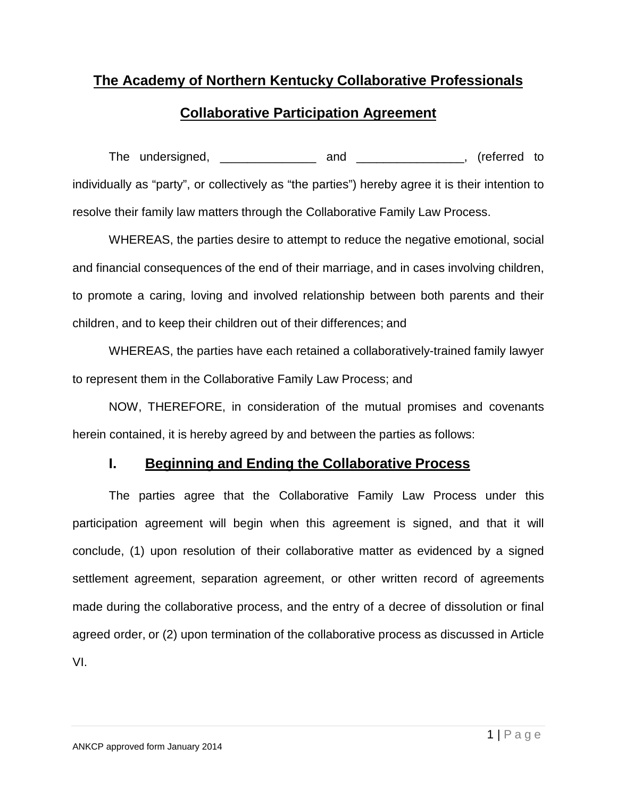# **The Academy of Northern Kentucky Collaborative Professionals**

# **Collaborative Participation Agreement**

The undersigned, \_\_\_\_\_\_\_\_\_\_\_\_\_\_\_ and \_\_\_\_\_\_\_\_\_\_\_\_\_\_, (referred to individually as "party", or collectively as "the parties") hereby agree it is their intention to resolve their family law matters through the Collaborative Family Law Process.

WHEREAS, the parties desire to attempt to reduce the negative emotional, social and financial consequences of the end of their marriage, and in cases involving children, to promote a caring, loving and involved relationship between both parents and their children, and to keep their children out of their differences; and

WHEREAS, the parties have each retained a collaboratively-trained family lawyer to represent them in the Collaborative Family Law Process; and

NOW, THEREFORE, in consideration of the mutual promises and covenants herein contained, it is hereby agreed by and between the parties as follows:

## **I. Beginning and Ending the Collaborative Process**

The parties agree that the Collaborative Family Law Process under this participation agreement will begin when this agreement is signed, and that it will conclude, (1) upon resolution of their collaborative matter as evidenced by a signed settlement agreement, separation agreement, or other written record of agreements made during the collaborative process, and the entry of a decree of dissolution or final agreed order, or (2) upon termination of the collaborative process as discussed in Article VI.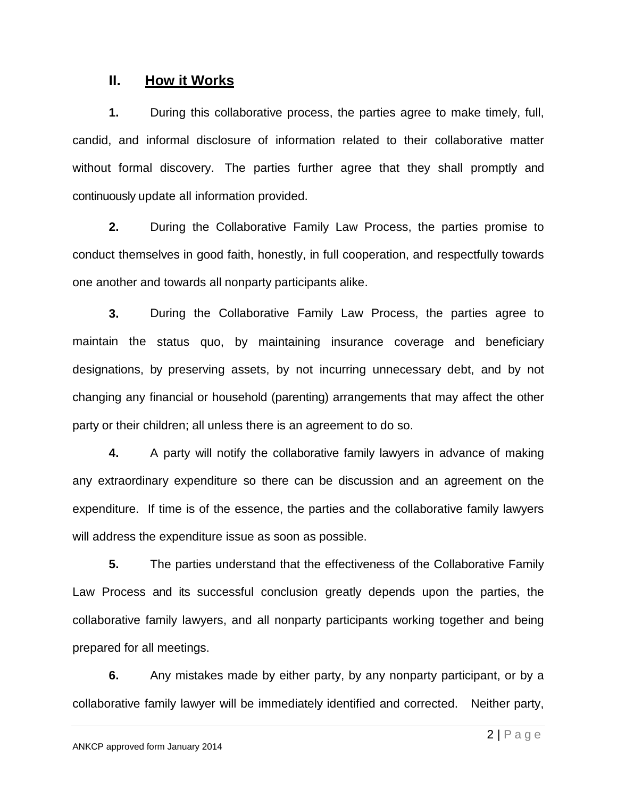#### **II. How it Works**

**1.** During this collaborative process, the parties agree to make timely, full, candid, and informal disclosure of information related to their collaborative matter without formal discovery. The parties further agree that they shall promptly and continuously update all information provided.

**2.** During the Collaborative Family Law Process, the parties promise to conduct themselves in good faith, honestly, in full cooperation, and respectfully towards one another and towards all nonparty participants alike.

**3.** During the Collaborative Family Law Process, the parties agree to maintain the status quo, by maintaining insurance coverage and beneficiary designations, by preserving assets, by not incurring unnecessary debt, and by not changing any financial or household (parenting) arrangements that may affect the other party or their children; all unless there is an agreement to do so.

**4.** A party will notify the collaborative family lawyers in advance of making any extraordinary expenditure so there can be discussion and an agreement on the expenditure. If time is of the essence, the parties and the collaborative family lawyers will address the expenditure issue as soon as possible.

**5.** The parties understand that the effectiveness of the Collaborative Family Law Process and its successful conclusion greatly depends upon the parties, the collaborative family lawyers, and all nonparty participants working together and being prepared for all meetings.

**6.** Any mistakes made by either party, by any nonparty participant, or by a collaborative family lawyer will be immediately identified and corrected. Neither party,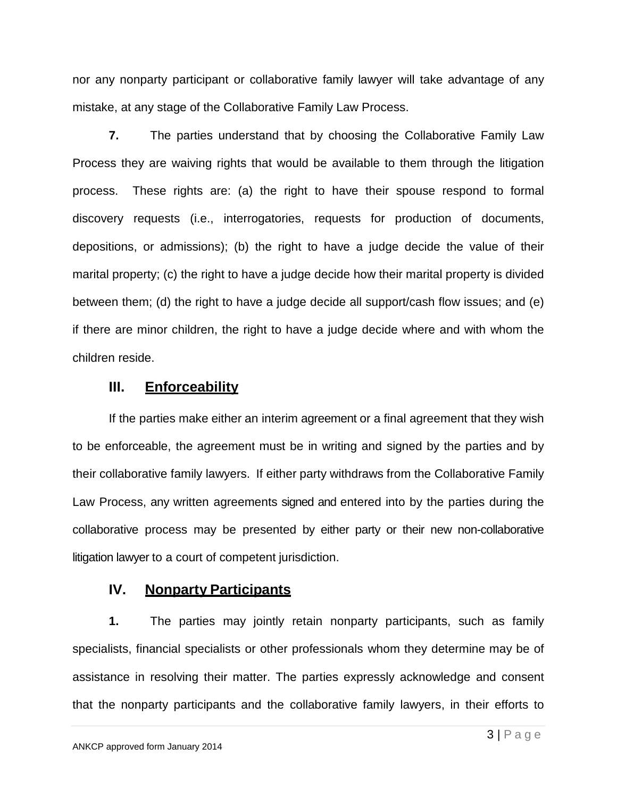nor any nonparty participant or collaborative family lawyer will take advantage of any mistake, at any stage of the Collaborative Family Law Process.

**7.** The parties understand that by choosing the Collaborative Family Law Process they are waiving rights that would be available to them through the litigation process. These rights are: (a) the right to have their spouse respond to formal discovery requests (i.e., interrogatories, requests for production of documents, depositions, or admissions); (b) the right to have a judge decide the value of their marital property; (c) the right to have a judge decide how their marital property is divided between them; (d) the right to have a judge decide all support/cash flow issues; and (e) if there are minor children, the right to have a judge decide where and with whom the children reside.

#### **III. Enforceability**

If the parties make either an interim agreement or a final agreement that they wish to be enforceable, the agreement must be in writing and signed by the parties and by their collaborative family lawyers. If either party withdraws from the Collaborative Family Law Process, any written agreements signed and entered into by the parties during the collaborative process may be presented by either party or their new non-collaborative litigation lawyer to a court of competent jurisdiction.

#### **IV. Nonparty Participants**

**1.** The parties may jointly retain nonparty participants, such as family specialists, financial specialists or other professionals whom they determine may be of assistance in resolving their matter. The parties expressly acknowledge and consent that the nonparty participants and the collaborative family lawyers, in their efforts to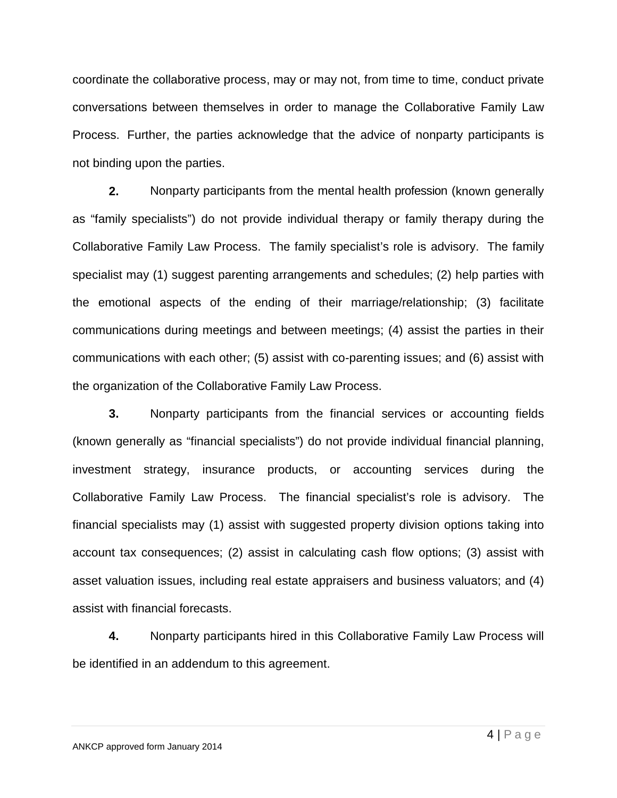coordinate the collaborative process, may or may not, from time to time, conduct private conversations between themselves in order to manage the Collaborative Family Law Process. Further, the parties acknowledge that the advice of nonparty participants is not binding upon the parties.

**2.** Nonparty participants from the mental health profession (known generally as "family specialists") do not provide individual therapy or family therapy during the Collaborative Family Law Process. The family specialist's role is advisory. The family specialist may (1) suggest parenting arrangements and schedules; (2) help parties with the emotional aspects of the ending of their marriage/relationship; (3) facilitate communications during meetings and between meetings; (4) assist the parties in their communications with each other; (5) assist with co-parenting issues; and (6) assist with the organization of the Collaborative Family Law Process.

**3.** Nonparty participants from the financial services or accounting fields (known generally as "financial specialists") do not provide individual financial planning, investment strategy, insurance products, or accounting services during the Collaborative Family Law Process. The financial specialist's role is advisory. The financial specialists may (1) assist with suggested property division options taking into account tax consequences; (2) assist in calculating cash flow options; (3) assist with asset valuation issues, including real estate appraisers and business valuators; and (4) assist with financial forecasts.

**4.** Nonparty participants hired in this Collaborative Family Law Process will be identified in an addendum to this agreement.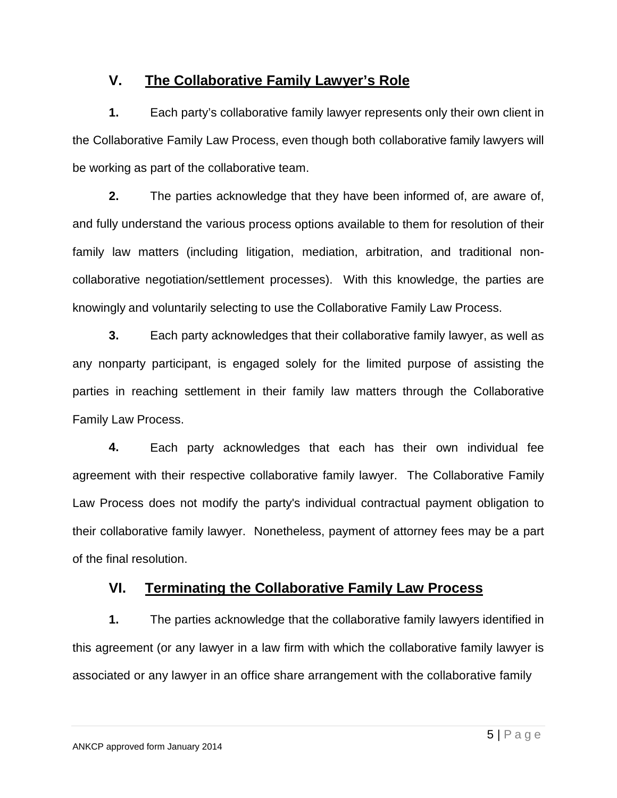# **V. The Collaborative Family Lawyer's Role**

**1.** Each party's collaborative family lawyer represents only their own client in the Collaborative Family Law Process, even though both collaborative family lawyers will be working as part of the collaborative team.

**2.** The parties acknowledge that they have been informed of, are aware of, and fully understand the various process options available to them for resolution of their family law matters (including litigation, mediation, arbitration, and traditional noncollaborative negotiation/settlement processes). With this knowledge, the parties are knowingly and voluntarily selecting to use the Collaborative Family Law Process.

**3.** Each party acknowledges that their collaborative family lawyer, as well as any nonparty participant, is engaged solely for the limited purpose of assisting the parties in reaching settlement in their family law matters through the Collaborative Family Law Process.

**4.** Each party acknowledges that each has their own individual fee agreement with their respective collaborative family lawyer. The Collaborative Family Law Process does not modify the party's individual contractual payment obligation to their collaborative family lawyer. Nonetheless, payment of attorney fees may be a part of the final resolution.

# **VI. Terminating the Collaborative Family Law Process**

**1.** The parties acknowledge that the collaborative family lawyers identified in this agreement (or any lawyer in a law firm with which the collaborative family lawyer is associated or any lawyer in an office share arrangement with the collaborative family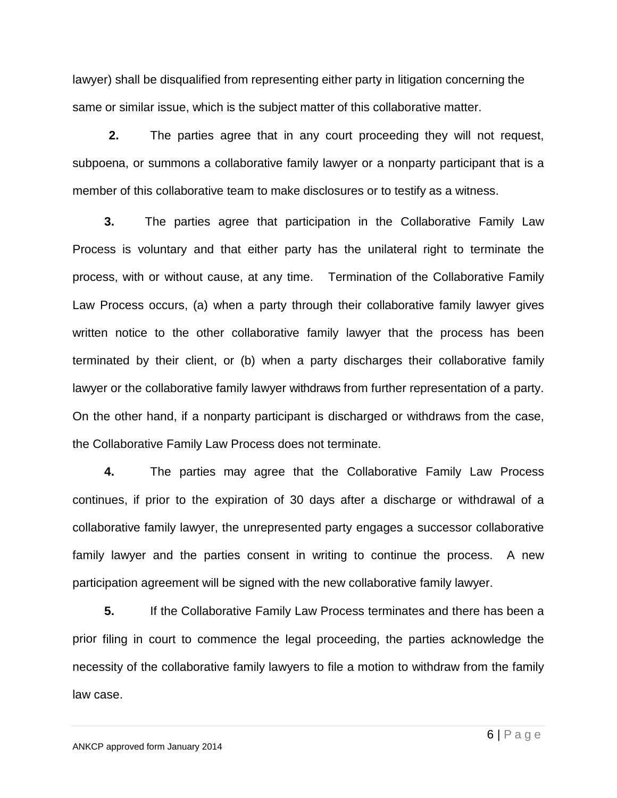lawyer) shall be disqualified from representing either party in litigation concerning the same or similar issue, which is the subject matter of this collaborative matter.

**2.** The parties agree that in any court proceeding they will not request, subpoena, or summons a collaborative family lawyer or a nonparty participant that is a member of this collaborative team to make disclosures or to testify as a witness.

**3.** The parties agree that participation in the Collaborative Family Law Process is voluntary and that either party has the unilateral right to terminate the process, with or without cause, at any time. Termination of the Collaborative Family Law Process occurs, (a) when a party through their collaborative family lawyer gives written notice to the other collaborative family lawyer that the process has been terminated by their client, or (b) when a party discharges their collaborative family lawyer or the collaborative family lawyer withdraws from further representation of a party. On the other hand, if a nonparty participant is discharged or withdraws from the case, the Collaborative Family Law Process does not terminate.

**4.** The parties may agree that the Collaborative Family Law Process continues, if prior to the expiration of 30 days after a discharge or withdrawal of a collaborative family lawyer, the unrepresented party engages a successor collaborative family lawyer and the parties consent in writing to continue the process. A new participation agreement will be signed with the new collaborative family lawyer.

**5.** If the Collaborative Family Law Process terminates and there has been a prior filing in court to commence the legal proceeding, the parties acknowledge the necessity of the collaborative family lawyers to file a motion to withdraw from the family law case.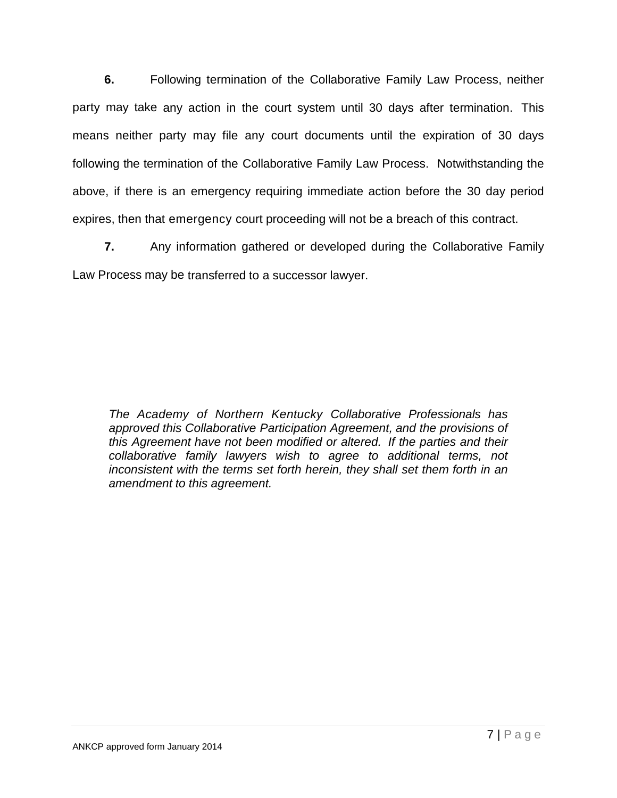**6.** Following termination of the Collaborative Family Law Process, neither party may take any action in the court system until 30 days after termination. This means neither party may file any court documents until the expiration of 30 days following the termination of the Collaborative Family Law Process. Notwithstanding the above, if there is an emergency requiring immediate action before the 30 day period expires, then that emergency court proceeding will not be a breach of this contract.

**7.** Any information gathered or developed during the Collaborative Family Law Process may be transferred to a successor lawyer.

*The Academy of Northern Kentucky Collaborative Professionals has approved this Collaborative Participation Agreement, and the provisions of this Agreement have not been modified or altered. If the parties and their collaborative family lawyers wish to agree to additional terms, not inconsistent with the terms set forth herein, they shall set them forth in an amendment to this agreement.*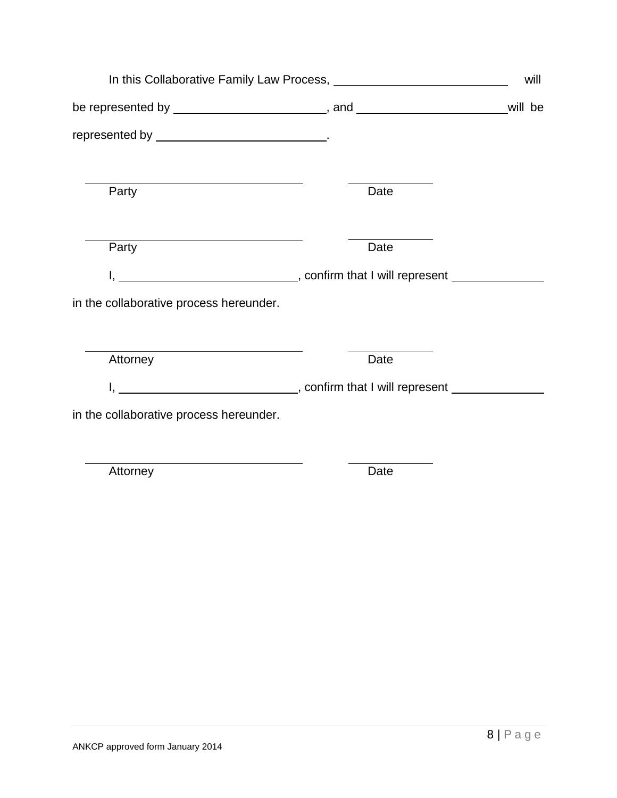| will be                                                                          |
|----------------------------------------------------------------------------------|
|                                                                                  |
| Date                                                                             |
| Date                                                                             |
| I, __________________________________, confirm that I will represent _______     |
|                                                                                  |
|                                                                                  |
| I, _________________________________, confirm that I will represent ____________ |
|                                                                                  |
| Date                                                                             |
| Date                                                                             |